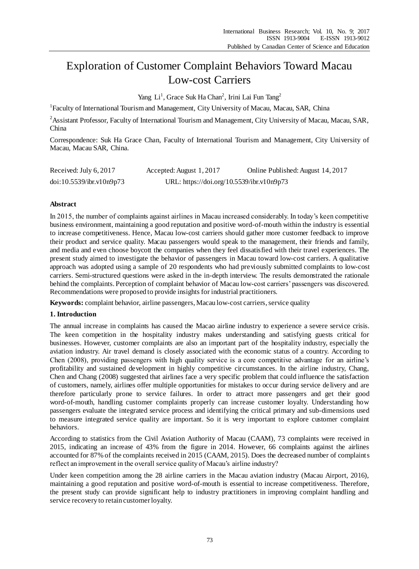# Exploration of Customer Complaint Behaviors Toward Macau Low-cost Carriers

Yang  $Li<sup>1</sup>$ , Grace Suk Ha Chan<sup>2</sup>, Irini Lai Fun Tang<sup>2</sup>

<sup>1</sup> Faculty of International Tourism and Management, City University of Macau, Macau, SAR, China

<sup>2</sup>Assistant Professor, Faculty of International Tourism and Management, City University of Macau, Macau, SAR, China

Correspondence: Suk Ha Grace Chan, Faculty of International Tourism and Management, City University of Macau, Macau SAR, China.

| Received: July 6, 2017   | Accepted: August 1, 2017                  | Online Published: August 14, 2017 |
|--------------------------|-------------------------------------------|-----------------------------------|
| doi:10.5539/ibr.v10n9p73 | URL: https://doi.org/10.5539/ibr.v10n9p73 |                                   |

# **Abstract**

In 2015, the number of complaints against airlines in Macau increased considerably. In today's keen competitive business environment, maintaining a good reputation and positive word-of-mouth within the industry is essential to increase competitiveness. Hence, Macau low-cost carriers should gather more customer feedback to improve their product and service quality. Macau passengers would speak to the management, their friends and family, and media and even choose boycott the companies when they feel dissatisfied with their travel experiences. The present study aimed to investigate the behavior of passengers in Macau toward low-cost carriers. A qualitative approach was adopted using a sample of 20 respondents who had previously submitted complaints to low-cost carriers. Semi-structured questions were asked in the in-depth interview. The results demonstrated the rationale behind the complaints. Perception of complaint behavior of Macau low-cost carriers' passengers was discovered. Recommendations were proposed to provide insights for industrial practitioners.

**Keywords:** complaint behavior, airline passengers, Macau low-cost carriers, service quality

# **1. Introduction**

The annual increase in complaints has caused the Macao airline industry to experience a severe service crisis. The keen competition in the hospitality industry makes understanding and satisfying guests critical for businesses. However, customer complaints are also an important part of the hospitality industry, especially the aviation industry. Air travel demand is closely associated with the economic status of a country. According to Chen (2008), providing passengers with high quality service is a core competitive advantage for an airline's profitability and sustained development in highly competitive circumstances. In the airline industry, Chang, Chen and Chang (2008) suggested that airlines face a very specific problem that could influence the satisfaction of customers, namely, airlines offer multiple opportunities for mistakes to occur during service de livery and are therefore particularly prone to service failures. In order to attract more passengers and get their good word-of-mouth, handling customer complaints properly can increase customer loyalty. Understanding how passengers evaluate the integrated service process and identifying the critical primary and sub-dimensions used to measure integrated service quality are important. So it is very important to explore customer complaint behaviors.

According to statistics from the Civil Aviation Authority of Macau (CAAM), 73 complaints were received in 2015, indicating an increase of 43% from the figure in 2014. However, 66 complaints against the airlines accounted for 87% of the complaints received in 2015 (CAAM, 2015). Does the decreased number of complaints reflect an improvement in the overall service quality of Macau's airline industry?

Under keen competition among the 28 airline carriers in the Macau aviation industry (Macau Airport, 2016), maintaining a good reputation and positive word-of-mouth is essential to increase competitiveness. Therefore, the present study can provide significant help to industry practitioners in improving complaint handling and service recovery to retain customer loyalty.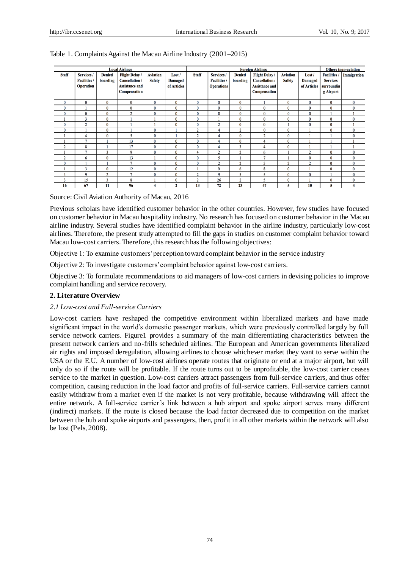| <b>Local Airlines</b> |                     |                | <b>Foreign Airlines</b> |                 |                |                | <b>Others</b> (non-aviation |                   |                       |                 |                |                     |                    |
|-----------------------|---------------------|----------------|-------------------------|-----------------|----------------|----------------|-----------------------------|-------------------|-----------------------|-----------------|----------------|---------------------|--------------------|
| <b>Staff</b>          | Services /          | <b>Denied</b>  | <b>Flight Delay /</b>   | <b>Aviation</b> | Lost/          | <b>Staff</b>   | Services/                   | <b>Denied</b>     | <b>Flight Delay/</b>  | <b>Aviation</b> | Lost /         | <b>Facilities</b> / | <b>Immigration</b> |
|                       | <b>Facilities</b> / | boarding       | <b>Cancellation</b> /   | <b>Safety</b>   | <b>Damaged</b> |                | <b>Facilities</b>           | boarding          | Cancellation/         | <b>Safety</b>   | <b>Damaged</b> | <b>Services</b>     |                    |
|                       | <b>Operation</b>    |                | <b>Assistance and</b>   |                 | of Articles    |                | <b>Operations</b>           |                   | <b>Assistance and</b> |                 | of Articles    | surroundin          |                    |
|                       |                     |                | Compensation            |                 |                |                |                             |                   | Compensation          |                 |                | g Airport           |                    |
|                       |                     |                |                         |                 |                |                |                             |                   |                       |                 |                |                     |                    |
| $\bf{0}$              | $\bf{0}$            | $\bf{0}$       | $\bf{0}$                | $\bf{0}$        | $\bf{0}$       | $\bf{0}$       | $\bf{0}$                    | $\bf{0}$          |                       | $\bf{0}$        | $\bf{0}$       | $\bf{0}$            | $\bf{0}$           |
| $\bf{0}$              |                     | $\bf{0}$       | 0                       | $\bf{0}$        | $\bf{0}$       | $\bf{0}$       | $\bf{0}$                    | $\bf{0}$          | $\bf{0}$              | $\bf{0}$        | $\bf{0}$       | $\bf{0}$            | $\bf{0}$           |
| $\bf{0}$              | 0                   | $\bf{0}$       | o                       | $\bf{0}$        | $\bf{0}$       | $\bf{0}$       | $\bf{0}$                    | $\mathbf{0}$      | $\bf{0}$              | $\bf{0}$        | $\bf{0}$       |                     |                    |
|                       | 3                   | $\bf{0}$       |                         |                 | $\bf{0}$       | $\bf{0}$       |                             | $\bf{0}$          | $\bf{0}$              | $\bf{0}$        | $\bf{0}$       | $\bf{0}$            | $\bf{0}$           |
| $\bf{0}$              | $\overline{c}$      | $\bf{0}$       |                         |                 | $\bf{0}$       | $\bf{0}$       | $\overline{2}$              | $\bf{0}$          | $\bf{0}$              |                 | $\bf{0}$       | $\bf{0}$            |                    |
| $\bf{0}$              |                     | $\bf{0}$       |                         | $\bf{0}$        |                | $\overline{2}$ | $\overline{4}$              | $\mathbf{\Omega}$ | $\bf{0}$              | $\bf{0}$        |                | $\bf{0}$            | $\bf{0}$           |
|                       | 4                   | $\bf{0}$       | 5                       | $\bf{0}$        |                | 2              | $\overline{4}$              | $\bf{0}$          | 2                     | $\bf{0}$        |                |                     | $\bf{0}$           |
|                       | 7                   |                | 13                      | $\bf{0}$        | $\bf{0}$       | $\bf{0}$       | 4                           | $\bf{0}$          | 4                     | $\bf{0}$        |                |                     |                    |
| $\overline{2}$        | 8                   |                | 17                      | $\bf{0}$        | $\bf{0}$       | $\bf{0}$       | $\overline{4}$              | 3                 | 4                     | $\bf{0}$        |                |                     |                    |
|                       | $\overline{7}$      | 3              | 9                       | $\bf{0}$        | $\bf{0}$       | 4              | $\overline{2}$              | $\mathbf{\Omega}$ | 6                     |                 | 2              | $\bf{0}$            | $\bf{0}$           |
| h                     | 6                   | $\bf{0}$       | 13                      |                 | $\bf{0}$       | $\bf{0}$       | 5                           |                   | $\overline{7}$        |                 | $\bf{0}$       | $\bf{0}$            | $\bf{0}$           |
| $\bf{0}$              |                     |                | π                       | $\bf{0}$        | $\bf{0}$       | $\bf{0}$       | $\overline{2}$              | $\overline{2}$    | 5                     | 2               | $\overline{2}$ | $\bf{0}$            | $\bf{0}$           |
|                       | 3                   | $\bf{0}$       | 12                      | $\bf{0}$        | $\bf{0}$       |                | $\mathbf{Q}$                | 6                 | 8                     | $\bf{0}$        |                | $\bf{0}$            | $\bf{0}$           |
| 4                     | 9                   | $\overline{2}$ | π                       | $\bf{0}$        | $\bf{0}$       | $\overline{2}$ | 9                           | 5                 | 5                     | $\bf{0}$        | $\bf{0}$       |                     | $\bf{0}$           |
| 3                     | 15                  | 3              | 8                       |                 | $\bf{0}$       | $\overline{c}$ | 26                          | $\mathcal{L}$     | 5                     | $\bf{0}$        |                | $\bf{0}$            | $\bf{0}$           |
| 16                    | 67                  | 11             | 96                      | 4               | $\mathbf{2}$   | 13             | 72                          | 23                | 47                    | 5               | 10             | 5                   | 4                  |

#### Table 1. Complaints Against the Macau Airline Industry (2001–2015)

#### Source: Civil Aviation Authority of Macau, 2016

Previous scholars have identified customer behavior in the other countries. However, few studies have focused on customer behavior in Macau hospitality industry. No research has focused on customer behavior in the Macau airline industry. Several studies have identified complaint behavior in the airline industry, particularly low-cost airlines. Therefore, the present study attempted to fill the gaps in studies on customer complaint behavior toward Macau low-cost carriers. Therefore, this research has the following objectives:

Objective 1: To examine customers' perception toward complaint behavior in the service industry

Objective 2: To investigate customers' complaint behavior against low-cost carriers.

Objective 3: To formulate recommendations to aid managers of low-cost carriers in devising policies to improve complaint handling and service recovery.

# **2. Literature Overview**

# *2.1 Low-cost and Full-service Carriers*

Low-cost carriers have reshaped the competitive environment within liberalized markets and have made significant impact in the world's domestic passenger markets, which were previously controlled largely by full service network carriers. Figure1 provides a summary of the main differentiating characteristics between the present network carriers and no-frills scheduled airlines. The European and American governments liberalized air rights and imposed deregulation, allowing airlines to choose whichever market they want to serve within the USA or the E.U. A number of low-cost airlines operate routes that originate or end at a major airport, but will only do so if the route will be profitable. If the route turns out to be unprofitable, the low-cost carrier ceases service to the market in question. Low-cost carriers attract passengers from full-service carriers, and thus offer competition, causing reduction in the load factor and profits of full-service carriers. Full-service carriers cannot easily withdraw from a market even if the market is not very profitable, because withdrawing will affect the entire network. A full-service carrier's link between a hub airport and spoke airport serves many different (indirect) markets. If the route is closed because the load factor decreased due to competition on the market between the hub and spoke airports and passengers, then, profit in all other markets within the network will also be lost (Pels, 2008).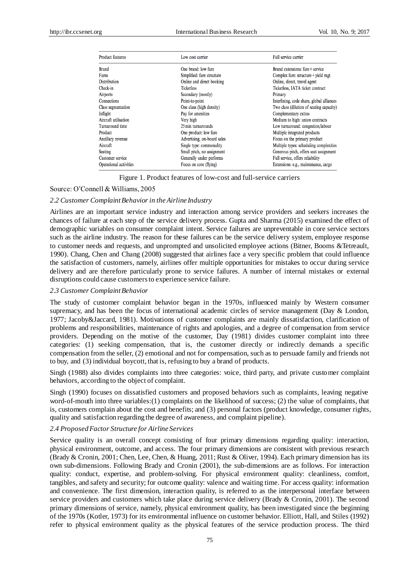| Product features       | Low cost carrier            | Full service carrier                      |
|------------------------|-----------------------------|-------------------------------------------|
| <b>Brand</b>           | One brand: low fare         | Brand extensions: fare + service          |
| Fares                  | Simplified: fare structure  | Complex fare: $structure + yield$ mgt     |
| <b>Distribution</b>    | Online and direct booking   | Online, direct, travel agent              |
| Check-in               | <b>Ticketless</b>           | Ticketless, IATA ticket contract          |
| Airports               | Secondary (mostly)          | Primary                                   |
| Connections            | Point-to-point              | Interlining, code share, global alliances |
| Class segmentation     | One class (high density)    | Two class (dilution of seating capacity)  |
| Inflight               | Pay for amenities           | Complementary extras                      |
| Aircraft utilisation   | Very high                   | Medium to high: union contracts           |
| Turnaround time        | 25 min turnarounds          | Low turnaround: congestion/labour         |
| Product                | One product: low fare       | Multiple integrated products              |
| Ancillary revenue      | Advertising, on-board sales | Focus on the primary product              |
| Aircraft               | Single type: commonality    | Multiple types: scheduling complexities   |
| Seating                | Small pitch, no assignment  | Generous pitch, offers seat assignment    |
| Customer service       | Generally under performs    | Full service, offers reliability          |
| Operational activities | Focus on core (flying)      | Extensions: e.g., maintenance, cargo      |

Figure 1. Product features of low-cost and full-service carriers

# Source: O'Connell & Williams, 2005

#### *2.2 Customer Complaint Behavior in the Airline Industry*

Airlines are an important service industry and interaction among service providers and seekers increases the chances of failure at each step of the service delivery process. Gupta and Sharma (2015) examined the effect of demographic variables on consumer complaint intent. Service failures are unpreventable in core service sectors such as the airline industry. The reason for these failures can be the service delivery system, employee response to customer needs and requests, and unprompted and unsolicited employee actions (Bitner, Booms &Tetreault, 1990). Chang, Chen and Chang (2008) suggested that airlines face a very specific problem that could influence the satisfaction of customers, namely, airlines offer multiple opportunities for mistakes to occur during service delivery and are therefore particularly prone to service failures. A number of internal mistakes or external disruptions could cause customers to experience service failure.

#### *2.3 Customer Complaint Behavior*

The study of customer complaint behavior began in the 1970s, influenced mainly by Western consumer supremacy, and has been the focus of international academic circles of service management (Day  $\&$  London, 1977; Jacoby&Jaccard, 1981). Motivations of customer complaints are mainly dissatisfaction, clarification of problems and responsibilities, maintenance of rights and apologies, and a degree of compensation from service providers. Depending on the motive of the customer, Day (1981) divides customer complaint into three categories: (1) seeking compensation, that is, the customer directly or indirectly demands a specific compensation from the seller, (2) emotional and not for compensation, such as to persuade family and friends not to buy, and (3) individual boycott, that is, refusing to buy a brand of products.

Singh (1988) also divides complaints into three categories: voice, third party, and private customer complaint behaviors, according to the object of complaint.

Singh (1990) focuses on dissatisfied customers and proposed behaviors such as complaints, leaving negative word-of-mouth into three variables:(1) complaints on the likelihood of success; (2) the value of complaints, that is, customers complain about the cost and benefits; and (3) personal factors (product knowledge, consumer rights, quality and satisfaction regarding the degree of awareness, and complaint pipeline).

# *2.4 Proposed Factor Structure for Airline Services*

Service quality is an overall concept consisting of four primary dimensions regarding quality: interaction, physical environment, outcome, and access. The four primary dimensions are consistent with previous research (Brady & Cronin, 2001; Chen, Lee, Chen, & Huang, 2011; Rust & Oliver, 1994). Each primary dimension has its own sub-dimensions. Following Brady and Cronin (2001), the sub-dimensions are as follows. For interaction quality: conduct, expertise, and problem-solving. For physical environment quality: cleanliness, comfort, tangibles, and safety and security; for outcome quality: valence and waiting time. For access quality: information and convenience. The first dimension, interaction quality, is referred to as the interpersonal interface between service providers and customers which take place during service delivery (Brady & Cronin, 2001). The second primary dimensions of service, namely, physical environment quality, has been investigated since the beginning of the 1970s (Kotler, 1973) for its environmental influence on customer behavior. Elliott, Hall, and Stiles (1992) refer to physical environment quality as the physical features of the service production process. The third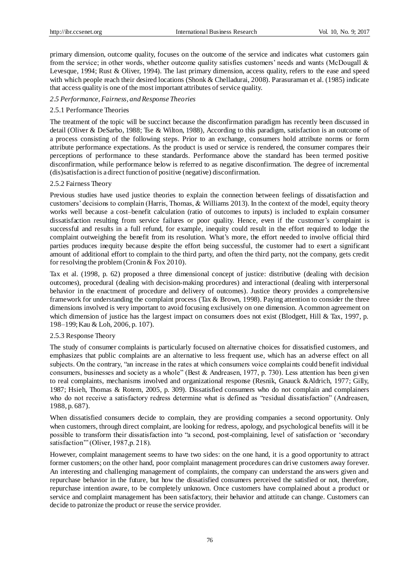primary dimension, outcome quality, focuses on the outcome of the service and indicates what customers gain from the service; in other words, whether outcome quality satisfies customers' needs and wants (McDougall & Levesque, 1994; Rust & Oliver, 1994). The last primary dimension, access quality, refers to the ease and speed with which people reach their desired locations (Shonk & Chelladurai, 2008). Parasuraman et al. (1985) indicate that access quality is one of the most important attributes of service quality.

# *2.5 Performance, Fairness, and Response Theories*

# 2.5.1 Performance Theories

The treatment of the topic will be succinct because the disconfirmation paradigm has recently been discussed in detail (Oliver & DeSarbo, 1988; Tse & Wilton, 1988), According to this paradigm, satisfaction is an outcome of a process consisting of the following steps. Prior to an exchange, consumers hold attribute norms or form attribute performance expectations. As the product is used or service is rendered, the consumer compares their perceptions of performance to these standards. Performance above the standard has been termed positive disconfirmation, while performance below is referred to as negative disconfirmation. The degree of incremental (dis)satisfaction is a direct function of positive (negative) disconfirmation.

# 2.5.2 Fairness Theory

Previous studies have used justice theories to explain the connection between feelings of dissatisfaction and customers' decisions to complain (Harris, Thomas, & Williams 2013). In the context of the model, equity theory works well because a cost–benefit calculation (ratio of outcomes to inputs) is included to explain consumer dissatisfaction resulting from service failures or poor quality. Hence, even if the customer's complaint is successful and results in a full refund, for example, inequity could result in the effort required to lodge the complaint outweighing the benefit from its resolution. What's more, the effort needed to involve official third parties produces inequity because despite the effort being successful, the customer had to exert a significant amount of additional effort to complain to the third party, and often the third party, not the company, gets credit for resolving the problem (Cronin & Fox 2010).

Tax et al. (1998, p. 62) proposed a three dimensional concept of justice: distributive (dealing with decision outcomes), procedural (dealing with decision-making procedures) and interactional (dealing with interpersonal behavior in the enactment of procedure and delivery of outcomes). Justice theory provides a comprehensive framework for understanding the complaint process (Tax & Brown, 1998). Paying attention to consider the three dimensions involved is very important to avoid focusing exclusively on one dimension. A common agreement on which dimension of justice has the largest impact on consumers does not exist (Blodgett, Hill & Tax, 1997, p. 198–199; Kau & Loh, 2006, p. 107).

# 2.5.3 Response Theory

The study of consumer complaints is particularly focused on alternative choices for dissatisfied customers, and emphasizes that public complaints are an alternative to less frequent use, which has an adverse effect on all subjects. On the contrary, "an increase in the rates at which consumers voice complaints could benefit individual consumers, businesses and society as a whole" (Best & Andreasen, 1977, p. 730). Less attention has been given to real complaints, mechanisms involved and organizational response (Resnik, Gnauck &Aldrich, 1977; Gilly, 1987; Hsieh, Thomas & Rotem, 2005, p. 309). Dissatisfied consumers who do not complain and complainers who do not receive a satisfactory redress determine what is defined as "residual dissatisfaction" (Andreasen, 1988, p. 687).

When dissatisfied consumers decide to complain, they are providing companies a second opportunity. Only when customers, through direct complaint, are looking for redress, apology, and psychological benefits will it be possible to transform their dissatisfaction into "a second, post-complaining, level of satisfaction or 'secondary satisfaction" (Oliver, 1987, p. 218).

However, complaint management seems to have two sides: on the one hand, it is a good opportunity to attract former customers; on the other hand, poor complaint management procedures can drive customers away forever. An interesting and challenging management of complaints, the company can understand the answers given and repurchase behavior in the future, but how the dissatisfied consumers perceived the satisfied or not, therefore, repurchase intention aware, to be completely unknown. Once customers have complained about a product or service and complaint management has been satisfactory, their behavior and attitude can change. Customers can decide to patronize the product or reuse the service provider.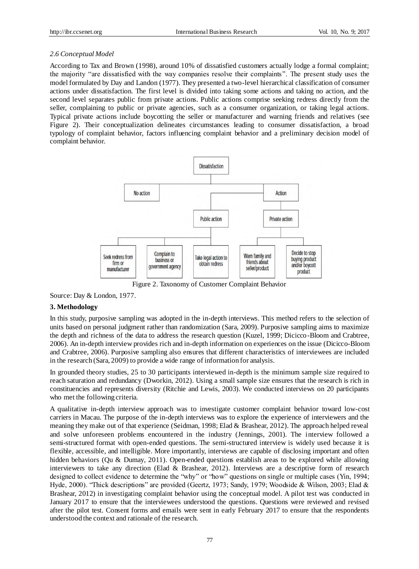#### *2.6 Conceptual Model*

According to Tax and Brown (1998), around 10% of dissatisfied customers actually lodge a formal complaint; the majority ''are dissatisfied with the way companies resolve their complaints''. The present study uses the model formulated by Day and Landon (1977). They presented a two-level hierarchical classification of consumer actions under dissatisfaction. The first level is divided into taking some actions and taking no action, and the second level separates public from private actions. Public actions comprise seeking redress directly from the seller, complaining to public or private agencies, such as a consumer organization, or taking legal actions. Typical private actions include boycotting the seller or manufacturer and warning friends and relatives (see Figure 2). Their conceptualization delineates circumstances leading to consumer dissatisfaction, a broad typology of complaint behavior, factors influencing complaint behavior and a preliminary decision model of complaint behavior.



Figure 2. Taxonomy of Customer Complaint Behavior

Source: Day & London, 1977.

#### **3. Methodology**

In this study, purposive sampling was adopted in the in-depth interviews. This method refers to the selection of units based on personal judgment rather than randomization (Sara, 2009). Purposive sampling aims to maximize the depth and richness of the data to address the research question (Kuzel, 1999; Dicicco-Bloom and Crabtree, 2006). An in-depth interview provides rich and in-depth information on experiences on the issue (Dicicco-Bloom and Crabtree, 2006). Purposive sampling also ensures that different characteristics of interviewees are included in the research (Sara, 2009) to provide a wide range of information for analysis.

In grounded theory studies, 25 to 30 participants interviewed in-depth is the minimum sample size required to reach saturation and redundancy (Dworkin, 2012). Using a small sample size ensures that the research is rich in constituencies and represents diversity (Ritchie and Lewis, 2003). We conducted interviews on 20 participants who met the following criteria.

A qualitative in-depth interview approach was to investigate customer complaint behavior toward low-cost carriers in Macau. The purpose of the in-depth interviews was to explore the experience of interviewers and the meaning they make out of that experience (Seidman, 1998; Elad & Brashear, 2012). The approach helped reveal and solve unforeseen problems encountered in the industry (Jennings, 2001). The interview followed a semi-structured format with open-ended questions. The semi-structured interview is widely used because it is flexible, accessible, and intelligible. More importantly, interviews are capable of disclosing important and often hidden behaviors (Qu & Dumay, 2011). Open-ended questions establish areas to be explored while allowing interviewers to take any direction (Elad & Brashear, 2012). Interviews are a descriptive form of research designed to collect evidence to determine the "why" or "how" questions on single or multiple cases (Yin, 1994; Hyde, 2000). "Thick descriptions" are provided (Geertz, 1973; Sandy, 1979; Woodside & Wilson, 2003; Elad & Brashear, 2012) in investigating complaint behavior using the conceptual model. A pilot test was conducted in January 2017 to ensure that the interviewees understood the questions. Questions were reviewed and revised after the pilot test. Consent forms and emails were sent in early February 2017 to ensure that the respondents understood the context and rationale of the research.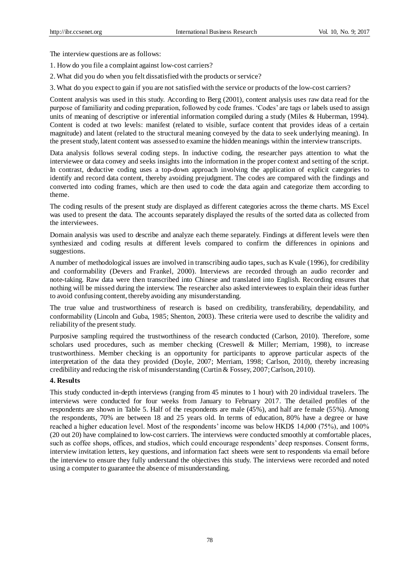The interview questions are as follows:

- 1. How do you file a complaint against low-cost carriers?
- 2. What did you do when you felt dissatisfied with the products or service?
- 3. What do you expect to gain if you are not satisfied with the service or products of the low-cost carriers?

Content analysis was used in this study. According to Berg (2001), content analysis uses raw data read for the purpose of familiarity and coding preparation, followed by code frames. 'Codes' are tags or labels used to assign units of meaning of descriptive or inferential information compiled during a study (Miles & Huberman, 1994). Content is coded at two levels: manifest (related to visible, surface content that provides ideas of a certain magnitude) and latent (related to the structural meaning conveyed by the data to seek underlying meaning). In the present study, latent content was assessed to examine the hidden meanings within the interview transcripts.

Data analysis follows several coding steps. In inductive coding, the researcher pays attention to what the interviewee or data convey and seeks insights into the information in the proper context and setting of the script. In contrast, deductive coding uses a top-down approach involving the application of explicit categories to identify and record data content, thereby avoiding prejudgment. The codes are compared with the findings and converted into coding frames, which are then used to code the data again and categorize them according to theme.

The coding results of the present study are displayed as different categories across the theme charts. MS Excel was used to present the data. The accounts separately displayed the results of the sorted data as collected from the interviewees.

Domain analysis was used to describe and analyze each theme separately. Findings at different levels were then synthesized and coding results at different levels compared to confirm the differences in opinions and suggestions.

A number of methodological issues are involved in transcribing audio tapes, such as Kvale (1996), for credibility and conformability (Devers and Frankel, 2000). Interviews are recorded through an audio recorder and note-taking. Raw data were then transcribed into Chinese and translated into English. Recording ensures that nothing will be missed during the interview. The researcher also asked interviewees to explain their ideas further to avoid confusing content, thereby avoiding any misunderstanding.

The true value and trustworthiness of research is based on credibility, transferability, dependability, and conformability (Lincoln and Guba, 1985; Shenton, 2003). These criteria were used to describe the validity and reliability of the present study.

Purposive sampling required the trustworthiness of the research conducted (Carlson, 2010). Therefore, some scholars used procedures, such as member checking (Creswell & Miller; Merriam, 1998), to increase trustworthiness. Member checking is an opportunity for participants to approve particular aspects of the interpretation of the data they provided (Doyle, 2007; Merriam, 1998; Carlson, 2010), thereby increasing credibility and reducing the risk of misunderstanding (Curtin & Fossey, 2007; Carlson, 2010).

# **4. Results**

This study conducted in-depth interviews (ranging from 45 minutes to 1 hour) with 20 individual travelers. The interviews were conducted for four weeks from January to February 2017. The detailed profiles of the respondents are shown in Table 5. Half of the respondents are male (45%), and half are female (55%). Among the respondents, 70% are between 18 and 25 years old. In terms of education, 80% have a degree or have reached a higher education level. Most of the respondents' income was below HKD\$ 14,000 (75%), and 100% (20 out 20) have complained to low-cost carriers. The interviews were conducted smoothly at comfortable places, such as coffee shops, offices, and studios, which could encourage respondents' deep responses. Consent forms, interview invitation letters, key questions, and information fact sheets were sent to respondents via email before the interview to ensure they fully understand the objectives this study. The interviews were recorded and noted using a computer to guarantee the absence of misunderstanding.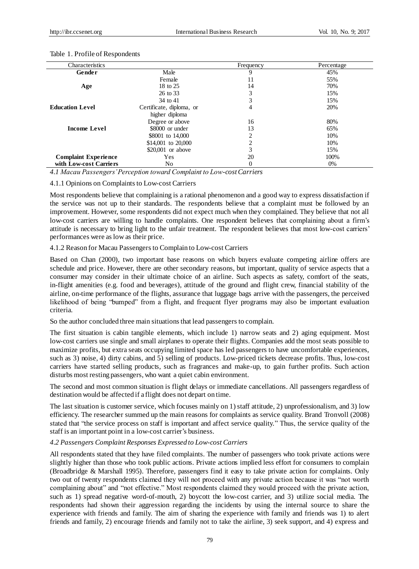| Characteristics             |                          | Frequency      | Percentage |
|-----------------------------|--------------------------|----------------|------------|
| <b>Gender</b>               | Male                     | 9              | 45%        |
|                             | Female                   | 11             | 55%        |
| Age                         | 18 to 25                 | 14             | 70%        |
|                             | 26 to 33                 | 3              | 15%        |
|                             | 34 to 41                 | 3              | 15%        |
| <b>Education Level</b>      | Certificate, diploma, or | 4              | 20%        |
|                             | higher diploma           |                |            |
|                             | Degree or above          | 16             | 80%        |
| <b>Income Level</b>         | \$8000 or under          | 13             | 65%        |
|                             | \$8001 to 14,000         | C              | 10%        |
|                             | \$14,001 to 20,000       | $\overline{2}$ | 10%        |
|                             | $$20,001$ or above       | 3              | 15%        |
| <b>Complaint Experience</b> | Yes                      | 20             | 100%       |
| with Low-cost Carriers      | N <sub>0</sub>           | 0              | $0\%$      |

#### Table 1. Profile of Respondents

*4.1 Macau Passengers' Perception toward Complaint to Low-cost Carriers*

#### 4.1.1 Opinions on Complaints to Low-cost Carriers

Most respondents believe that complaining is a rational phenomenon and a good way to express dissatisfaction if the service was not up to their standards. The respondents believe that a complaint must be followed by an improvement. However, some respondents did not expect much when they complained. They believe that not all low-cost carriers are willing to handle complaints. One respondent believes that complaining about a firm's attitude is necessary to bring light to the unfair treatment. The respondent believes that most low-cost carriers' performances were as low as their price.

#### 4.1.2 Reason for Macau Passengers to Complain to Low-cost Carriers

Based on Chan (2000), two important base reasons on which buyers evaluate competing airline offers are schedule and price. However, there are other secondary reasons, but important, quality of service aspects that a consumer may consider in their ultimate choice of an airline. Such aspects as safety, comfort of the seats, in-flight amenities (e.g. food and beverages), attitude of the ground and flight crew, financial stability of the airline, on-time performance of the flights, assurance that luggage bags arrive with the passengers, the perceived likelihood of being "bumped" from a flight, and frequent flyer programs may also be important evaluation criteria.

So the author concluded three main situations that lead passengers to complain.

The first situation is cabin tangible elements, which include 1) narrow seats and 2) aging equipment. Most low-cost carriers use single and small airplanes to operate their flights. Companies add the most seats possible to maximize profits, but extra seats occupying limited space has led passengers to have uncomfortable experiences, such as 3) noise, 4) dirty cabins, and 5) selling of products. Low-priced tickets decrease profits. Thus, low-cost carriers have started selling products, such as fragrances and make-up, to gain further profits. Such action disturbs most resting passengers, who want a quiet cabin environment.

The second and most common situation is flight delays or immediate cancellations. All passengers regardless of destination would be affected if a flight does not depart on time.

The last situation is customer service, which focuses mainly on 1) staff attitude, 2) unprofessionalism, and 3) low efficiency. The researcher summed up the main reasons for complaints as service quality. Brand Tronvoll (2008) stated that "the service process on staff is important and affect service quality." Thus, the service quality of the staff is an important point in a low-cost carrier's business.

#### *4.2 Passengers Complaint Responses Expressed to Low-cost Carriers*

All respondents stated that they have filed complaints. The number of passengers who took private actions were slightly higher than those who took public actions. Private actions implied less effort for consumers to complain (Broadbridge & Marshall 1995). Therefore, passengers find it easy to take private action for complaints. Only two out of twenty respondents claimed they will not proceed with any private action because it was "not worth complaining about" and "not effective." Most respondents claimed they would proceed with the private action, such as 1) spread negative word-of-mouth, 2) boycott the low-cost carrier, and 3) utilize social media. The respondents had shown their aggression regarding the incidents by using the internal source to share the experience with friends and family. The aim of sharing the experience with family and friends was 1) to alert friends and family, 2) encourage friends and family not to take the airline, 3) seek support, and 4) express and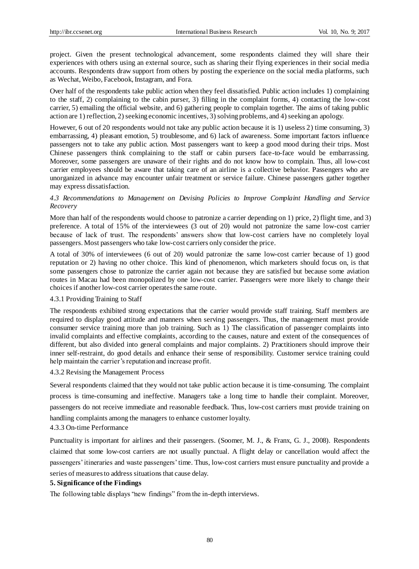project. Given the present technological advancement, some respondents claimed they will share their experiences with others using an external source, such as sharing their flying experiences in their social media accounts. Respondents draw support from others by posting the experience on the social media platforms, such as Wechat, Weibo, Facebook, Instagram, and Fora.

Over half of the respondents take public action when they feel dissatisfied. Public action includes 1) complaining to the staff, 2) complaining to the cabin purser, 3) filling in the complaint forms, 4) contacting the low-cost carrier, 5) emailing the official website, and 6) gathering people to complain together. The aims of taking public action are 1) reflection, 2) seeking economic incentives, 3) solving problems, and 4) seeking an apology.

However, 6 out of 20 respondents would not take any public action because it is 1) useless 2) time consuming, 3) embarrassing, 4) pleasant emotion, 5) troublesome, and 6) lack of awareness. Some important factors influence passengers not to take any public action. Most passengers want to keep a good mood during their trips. Most Chinese passengers think complaining to the staff or cabin pursers face-to-face would be embarrassing. Moreover, some passengers are unaware of their rights and do not know how to complain. Thus, all low-cost carrier employees should be aware that taking care of an airline is a collective behavior. Passengers who are unorganized in advance may encounter unfair treatment or service failure. Chinese passengers gather together may express dissatisfaction.

# *4.3 Recommendations to Management on Devising Policies to Improve Complaint Handling and Service Recovery*

More than half of the respondents would choose to patronize a carrier depending on 1) price, 2) flight time, and 3) preference. A total of 15% of the interviewees (3 out of 20) would not patronize the same low-cost carrier because of lack of trust. The respondents' answers show that low-cost carriers have no completely loyal passengers. Most passengers who take low-cost carriers only consider the price.

A total of 30% of interviewees (6 out of 20) would patronize the same low-cost carrier because of 1) good reputation or 2) having no other choice. This kind of phenomenon, which marketers should focus on, is that some passengers chose to patronize the carrier again not because they are satisfied but because some aviation routes in Macau had been monopolized by one low-cost carrier. Passengers were more likely to change their choices if another low-cost carrier operates the same route.

# 4.3.1 Providing Training to Staff

The respondents exhibited strong expectations that the carrier would provide staff training. Staff members are required to display good attitude and manners when serving passengers. Thus, the management must provide consumer service training more than job training. Such as 1) The classification of passenger complaints into invalid complaints and effective complaints, according to the causes, nature and extent of the consequences of different, but also divided into general complaints and major complaints. 2) Practitioners should improve their inner self-restraint, do good details and enhance their sense of responsibility. Customer service training could help maintain the carrier's reputation and increase profit.

# 4.3.2 Revising the Management Process

Several respondents claimed that they would not take public action because it is time-consuming. The complaint process is time-consuming and ineffective. Managers take a long time to handle their complaint. Moreover, passengers do not receive immediate and reasonable feedback. Thus, low-cost carriers must provide training on handling complaints among the managers to enhance customer loyalty.

# 4.3.3 On-time Performance

Punctuality is important for airlines and their passengers. (Soomer, M. J., & Franx, G. J., 2008). Respondents claimed that some low-cost carriers are not usually punctual. A flight delay or cancellation would affect the passengers' itineraries and waste passengers'time. Thus, low-cost carriers must ensure punctuality and provide a series of measures to address situations that cause delay.

# **5. Significance of the Findings**

The following table displays "new findings" from the in-depth interviews.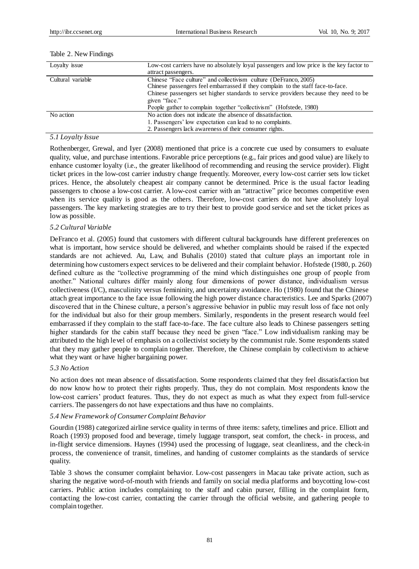| Loyalty issue     | Low-cost carriers have no absolutely loyal passengers and low price is the key factor to |
|-------------------|------------------------------------------------------------------------------------------|
|                   | attract passengers.                                                                      |
| Cultural variable | Chinese "Face culture" and collectivism culture (DeFranco, 2005)                         |
|                   | Chinese passengers feel embarrassed if they complain to the staff face-to-face.          |
|                   | Chinese passengers set higher standards to service providers because they need to be     |
|                   | given "face."                                                                            |
|                   | People gather to complain together "collectivism" (Hofstede, 1980)                       |
| No action         | No action does not indicate the absence of dissatisfaction.                              |
|                   | 1. Passengers' low expectation can lead to no complaints.                                |
|                   | 2. Passengers lack awareness of their consumer rights.                                   |

#### Table 2. New Findings

#### *5.1 Loyalty Issue*

Rothenberger, Grewal, and Iyer (2008) mentioned that price is a concrete cue used by consumers to evaluate quality, value, and purchase intentions. Favorable price perceptions (e.g., fair prices and good value) are likely to enhance customer loyalty (i.e., the greater likelihood of recommending and reusing the service provider). Flight ticket prices in the low-cost carrier industry change frequently. Moreover, every low-cost carrier sets low ticket prices. Hence, the absolutely cheapest air company cannot be determined. Price is the usual factor leading passengers to choose a low-cost carrier. A low-cost carrier with an "attractive" price becomes competitive even when its service quality is good as the others. Therefore, low-cost carriers do not have absolutely loyal passengers. The key marketing strategies are to try their best to provide good service and set the ticket prices as low as possible.

#### *5.2 Cultural Variable*

DeFranco et al. (2005) found that customers with different cultural backgrounds have different preferences on what is important, how service should be delivered, and whether complaints should be raised if the expected standards are not achieved. Au, Law, and Buhalis (2010) stated that culture plays an important role in determining how customers expect services to be delivered and their complaint behavior. Hofstede (1980, p. 260) defined culture as the "collective programming of the mind which distinguishes one group of people from another." National cultures differ mainly along four dimensions of power distance, individualism versus collectiveness (I/C), masculinity versus femininity, and uncertainty avoidance. Ho (1980) found that the Chinese attach great importance to the face issue following the high power distance characteristics. Lee and Sparks (2007) discovered that in the Chinese culture, a person's aggressive behavior in public may result loss of face not only for the individual but also for their group members. Similarly, respondents in the present research would feel embarrassed if they complain to the staff face-to-face. The face culture also leads to Chinese passengers setting higher standards for the cabin staff because they need be given "face." Low individualism ranking may be attributed to the high level of emphasis on a collectivist society by the communist rule. Some respondents stated that they may gather people to complain together. Therefore, the Chinese complain by collectivism to achieve what they want or have higher bargaining power.

#### *5.3 No Action*

No action does not mean absence of dissatisfaction. Some respondents claimed that they feel dissatisfaction but do now know how to protect their rights properly. Thus, they do not complain. Most respondents know the low-cost carriers' product features. Thus, they do not expect as much as what they expect from full-service carriers. The passengers do not have expectations and thus have no complaints.

# *5.4 New Framework of Consumer Complaint Behavior*

Gourdin (1988) categorized airline service quality in terms of three items: safety, timelines and price. Elliott and Roach (1993) proposed food and beverage, timely luggage transport, seat comfort, the check- in process, and in-flight service dimensions. Haynes (1994) used the processing of luggage, seat cleanliness, and the check-in process, the convenience of transit, timelines, and handing of customer complaints as the standards of service quality.

Table 3 shows the consumer complaint behavior. Low-cost passengers in Macau take private action, such as sharing the negative word-of-mouth with friends and family on social media platforms and boycotting low-cost carriers. Public action includes complaining to the staff and cabin purser, filling in the complaint form, contacting the low-cost carrier, contacting the carrier through the official website, and gathering people to complain together.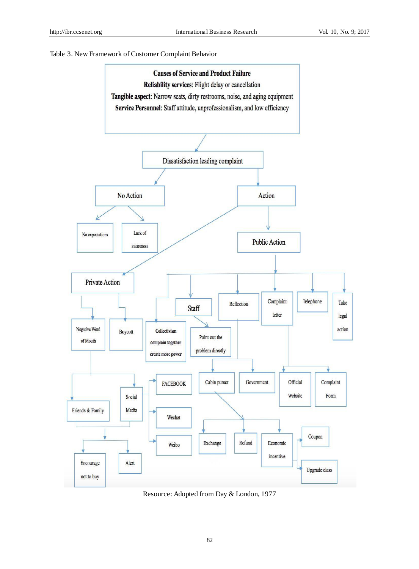# Table 3. New Framework of Customer Complaint Behavior



Resource: Adopted from Day & London, 1977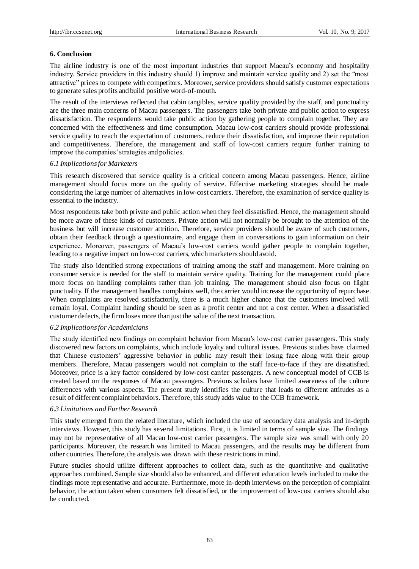# **6. Conclusion**

The airline industry is one of the most important industries that support Macau's economy and hospitality industry. Service providers in this industry should 1) improve and maintain service quality and 2) set the "most attractive" prices to compete with competitors. Moreover, service providers should satisfy customer expectations to generate sales profits and build positive word-of-mouth.

The result of the interviews reflected that cabin tangibles, service quality provided by the staff, and punctuality are the three main concerns of Macau passengers. The passengers take both private and public action to express dissatisfaction. The respondents would take public action by gathering people to complain together. They are concerned with the effectiveness and time consumption. Macau low-cost carriers should provide professional service quality to reach the expectation of customers, reduce their dissatisfaction, and improve their reputation and competitiveness. Therefore, the management and staff of low-cost carriers require further training to improve the companies' strategies and policies.

#### *6.1 Implications for Marketers*

This research discovered that service quality is a critical concern among Macau passengers. Hence, airline management should focus more on the quality of service. Effective marketing strategies should be made considering the large number of alternatives in low-cost carriers. Therefore, the examination of service quality is essential to the industry.

Most respondents take both private and public action when they feel dissatisfied. Hence, the management should be more aware of these kinds of customers. Private action will not normally be brought to the attention of the business but will increase customer attrition. Therefore, service providers should be aware of such customers, obtain their feedback through a questionnaire, and engage them in conversations to gain information on their experience. Moreover, passengers of Macau's low-cost carriers would gather people to complain together, leading to a negative impact on low-cost carriers, which marketers should avoid.

The study also identified strong expectations of training among the staff and management. More training on consumer service is needed for the staff to maintain service quality. Training for the management could place more focus on handling complaints rather than job training. The management should also focus on flight punctuality. If the management handles complaints well, the carrier would increase the opportunity of repurchase. When complaints are resolved satisfactorily, there is a much higher chance that the customers involved will remain loyal. Complaint handing should be seen as a profit center and not a cost center. When a dissatisfied customer defects, the firm loses more than just the value of the next transaction.

# *6.2 Implications for Academicians*

The study identified new findings on complaint behavior from Macau's low-cost carrier passengers. This study discovered new factors on complaints, which include loyalty and cultural issues. Previous studies have claimed that Chinese customers' aggressive behavior in public may result their losing face along with their group members. Therefore, Macau passengers would not complain to the staff face-to-face if they are dissatisfied. Moreover, price is a key factor considered by low-cost carrier passengers. A new conceptual model of CCB is created based on the responses of Macau passengers. Previous scholars have limited awareness of the culture differences with various aspects. The present study identifies the culture that leads to different attitudes as a result of different complaint behaviors. Therefore, this study adds value to the CCB framework.

#### *6.3 Limitations and Further Research*

This study emerged from the related literature, which included the use of secondary data analysis and in-depth interviews. However, this study has several limitations. First, it is limited in terms of sample size. The findings may not be representative of all Macau low-cost carrier passengers. The sample size was small with only 20 participants. Moreover, the research was limited to Macau passengers, and the results may be different from other countries. Therefore, the analysis was drawn with these restrictions in mind.

Future studies should utilize different approaches to collect data, such as the quantitative and qualitative approaches combined. Sample size should also be enhanced, and different education levels included to make the findings more representative and accurate. Furthermore, more in-depth interviews on the perception of complaint behavior, the action taken when consumers felt dissatisfied, or the improvement of low-cost carriers should also be conducted.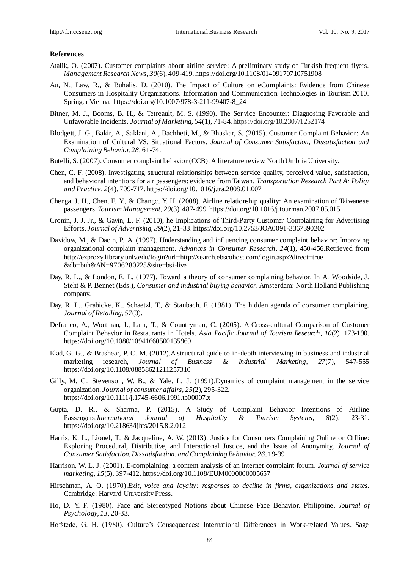#### **References**

- Atalik, O. (2007). Customer complaints about airline service: A preliminary study of Turkish frequent flyers. *Management Research News, 30*(6), 409-419. https://doi.org/10.1108/01409170710751908
- Au, N., Law, R., & Buhalis, D. (2010). The Impact of Culture on eComplaints: Evidence from Chinese Consumers in Hospitality Organizations. Information and Communication Technologies in Tourism 2010. Springer Vienna. https://doi.org/10.1007/978-3-211-99407-8\_24
- Bitner, M. J., Booms, B. H., & Tetreault, M. S. (1990). The Ser vice Encounter: Diagnosing Favorable and Unfavorable Incidents. *Journal of Marketing, 54*(1), 71-84. https://doi.org/10.2307/1252174
- Blodgett, J. G., Bakir, A., Saklani, A., Bachheti, M., & Bhaskar, S. (2015). Customer Complaint Behavior: An Examination of Cultural VS. Situational Factors. *Journal of Consumer Satisfaction, Dissatisfaction and Complaining Behavior, 28,* 61-74.
- Butelli, S. (2007). Consumer complaint behavior (CCB): A literature review. North Umbria University.
- Chen, C. F. (2008). Investigating structural relationships between service quality, perceived value, satisfaction, and behavioral intentions for air passengers: evidence from Taiwan. *Transportation Research Part A: Policy and Practice, 2*(4), 709-717. https://doi.org/10.1016/j.tra.2008.01.007
- Chenga, J. H., Chen, F. Y., & Changc, Y. H. (2008). Airline relationship quality: An examination of Taiwanese passengers. *Tourism Management, 29*(3), 487-499. https://doi.org/10.1016/j.tourman.2007.05.015
- Cronin, J. J. Jr., & Gavin, L. F. (2010), he Implications of Third-Party Customer Complaining for Advertising Efforts. *Journal of Advertising, 39*(2), 21-33. https://doi.org/10.2753/JOA0091-3367390202
- Davidow, M., & Dacin, P. A. (1997). Understanding and influencing consumer complaint behavior: Improving organizational complaint management. *Advances in Consumer Research*, *24*(1), 450-456.Retrieved from http://ezproxy.library.unlv.edu/login?url=http://search.ebscohost.com/login.aspx?direct=true &db=buh&AN=9706280225&site=bsi-live
- Day, R. L., & London, E. L. (1977). Toward a theory of consumer complaining behavior. In A. Woodside, J. Steht & P. Bennet (Eds.), *Consumer and industrial buying behavior.* Amsterdam: North Holland Publishing company.
- Day, R. L., Grabicke, K., Schaetzl, T., & Staubach, F. (1981). The hidden agenda of consumer complaining. *Journal of Retailing, 57*(3).
- Defranco, A., Wortman, J., Lam, T., & Countryman, C. (2005). A Cross-cultural Comparison of Customer Complaint Behavior in Restaurants in Hotels*. Asia Pacific Journal of Tourism Research, 10*(2), 173-190. https://doi.org/10.1080/10941660500135969
- Elad, G. G., & Brashear, P. C. M. (2012).A structural guide to in-depth interviewing in business and industrial marketing research, *Journal of Business & Industrial Marketing, 27*(7), 547-555 https://doi.org/10.1108/08858621211257310
- Gilly, M. C., Stevenson, W. B., & Yale, L. J. (1991).Dynamics of complaint management in the service organization, *Journal of consumer affairs, 25*(2), 295-322. https://doi.org/10.1111/j.1745-6606.1991.tb00007.x
- Gupta, D. R., & Sharma, P. (2015). A Study of Complaint Behavior Intentions of Airline Passengers.*International Journal of Hospitality & Tourism Systems, 8*(2), 23-31. https://doi.org/10.21863/ijhts/2015.8.2.012
- Harris, K. L., Lionel, T., & Jacqueline, A. W. (2013). Justice for Consumers Complaining Online or Offline: Exploring Procedural, Distributive, and Interactional Justice, and the Issue of Anonymity, *Journal of Consumer Satisfaction, Dissatisfaction, and Complaining Behavior, 26,* 19-39.
- Harrison, W. L. J. (2001). E-complaining: a content analysis of an Internet complaint forum. *Journal of service marketing, 15*(5), 397-412. https://doi.org/10.1108/EUM0000000005657
- Hirschman, A. O. (1970).*Exit, voice and loyalty: responses to decline in firms, organizations and states.*  Cambridge: Harvard University Press.
- Ho, D. Y. F. (1980). Face and Stereotyped Notions about Chinese Face Behavior. Philippine. *Journal of Psychology, 13,* 20-33.
- Hofstede, G. H. (1980). Culture's Consequences: International Differences in Work-related Values. Sage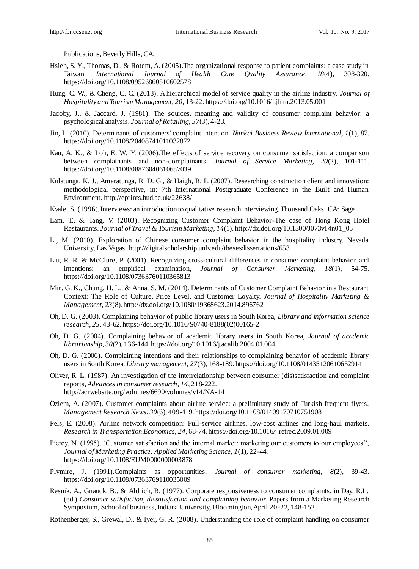Publications, Beverly Hills, CA.

- Hsieh, S. Y., Thomas, D., & Rotem, A. (2005).The organizational response to patient complaints: a case study in Taiwan. *International Journal of Health Care Quality Assurance, 18*(4), 308-320. https://doi.org/10.1108/09526860510602578
- Hung. C. W., & Cheng, C. C. (2013). A hierarchical model of service quality in the airline industry. *Journal of Hospitality and Tourism Management, 20,* 13-22. https://doi.org/10.1016/j.jhtm.2013.05.001
- Jacoby, J., & Jaccard, J. (1981). The sources, meaning and validity of consumer complaint behavior: a psychological analysis. *Journal of Retailing, 57*(3), 4-23.
- Jin, L. (2010). Determinants of customers' complaint intention. *Nankai Business Review International, 1*(1), 87. https://doi.org/10.1108/20408741011032872
- Kau, A. K., & Loh, E. W. Y. (2006).The effects of service recovery on consumer satisfaction: a comparison between complainants and non-complainants. *Journal of Service Marketing, 20*(2), 101-111. https://doi.org/10.1108/08876040610657039
- Kulatunga, K. J., Amaratunga, R. D. G., & Haigh, R. P. (2007). Researching construction client and innovation: methodological perspective, in: 7th International Postgraduate Conference in the Built and Human Environment. http://eprints.hud.ac.uk/22638/
- Kvale, S. (1996). Interviews: an introduction to qualitative research interviewing. Thousand Oaks, CA: Sage
- Lam, T., & Tang, V. (2003). Recognizing Customer Complaint Behavior-The case of Hong Kong Hotel Restaurants. *Journal of Travel & Tourism Marketing, 14*(1). http://dx.doi.org/10.1300/J073v14n01\_05
- Li, M. (2010). Exploration of Chinese consumer complaint behavior in the hospitality industry. Nevada University, Las Vegas. http://digitalscholarship.unlv.edu/thesesdissertations/653
- Liu, R. R. & McClure, P. (2001). Recognizing cross-cultural differences in consumer complaint behavior and intentions: an empirical examination, *Journal of Consumer Marketing*, *18*(1), 54-75. https://doi.org/10.1108/07363760110365813
- Min, G. K., Chung, H. L., & Anna, S. M. (2014). Determinants of Customer Complaint Behavior in a Restaurant Context: The Role of Culture, Price Level, and Customer Loyalty. *Journal of Hospitality Marketing & Management, 23*(8). http://dx.doi.org/10.1080/19368623.2014.896762
- Oh, D. G. (2003). Complaining behavior of public library users in South Korea, *Library and information science research*, *25,* 43-62. https://doi.org/10.1016/S0740-8188(02)00165-2
- Oh, D. G. (2004). Complaining behavior of academic library users in South Korea, *Journal of academic librarianship, 30*(2), 136-144. https://doi.org/10.1016/j.acalib.2004.01.004
- Oh, D. G. (2006). Complaining intentions and their relationships to complaining behavior of academic library users in South Korea, *Library management, 27*(3), 168-189. https://doi.org/10.1108/01435120610652914
- Oliver, R. L. (1987). An investigation of the interrelationship between consumer (dis)satisfaction and complaint reports, *Advances in consumer research, 14,* 218-222. http://acrwebsite.org/volumes/6690/volumes/v14/NA-14
- Özlem, A. (2007). Customer complaints about airline service: a preliminary study of Turkish frequent flyers. *Management Research News*, *30*(6), 409-419. https://doi.org/10.1108/01409170710751908
- Pels, E. (2008). Airline network competition: Full-service airlines, low-cost airlines and long-haul markets. *Research in Transportation Economics, 24,* 68-74. https://doi.org/10.1016/j.retrec.2009.01.009
- Piercy, N. (1995). 'Customer satisfaction and the internal market: marketing our customers to our employees'', *Journal of Marketing Practice: Applied Marketing Science, 1*(1), 22-44. https://doi.org/10.1108/EUM0000000003878
- Plymire, J. (1991).Complaints as opportunities, *Journal of consumer marketing, 8*(2), 39-43. https://doi.org/10.1108/07363769110035009
- Resnik, A., Gnauck, B., & Aldrich, R. (1977). Corporate responsiveness to consumer complaints, in Day, R.L. (ed.) *Consumer satisfaction, dissatisfaction and complaining behavior.* Papers from a Marketing Research Symposium, School of business, Indiana University, Bloomington, April 20-22, 148-152.
- Rothenberger, S., Grewal, D., & Iyer, G. R. (2008). Understanding the role of complaint handling on consumer